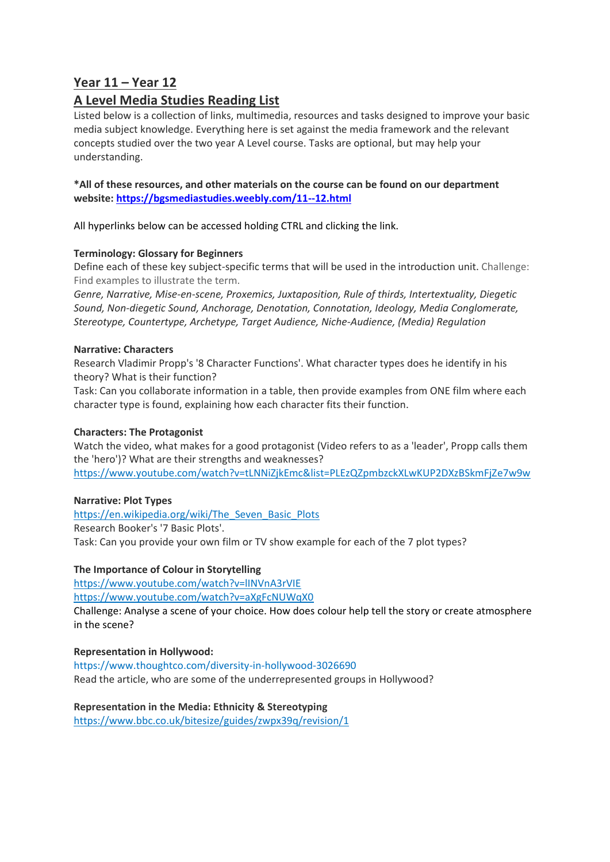# **Year 11 – Year 12**

# **A Level Media Studies Reading List**

Listed below is a collection of links, multimedia, resources and tasks designed to improve your basic media subject knowledge. Everything here is set against the media framework and the relevant concepts studied over the two year A Level course. Tasks are optional, but may help your understanding.

# **\*All of these resources, and other materials on the course can be found on our department website: <https://bgsmediastudies.weebly.com/11--12.html>**

All hyperlinks below can be accessed holding CTRL and clicking the link.

# **Terminology: Glossary for Beginners**

Define each of these key subject-specific terms that will be used in the introduction unit. Challenge: Find examples to illustrate the term.

*Genre, Narrative, Mise-en-scene, Proxemics, Juxtaposition, Rule of thirds, Intertextuality, Diegetic Sound, Non-diegetic Sound, Anchorage, Denotation, Connotation, Ideology, Media Conglomerate, Stereotype, Countertype, Archetype, Target Audience, Niche-Audience, (Media) Regulation*

# **Narrative: Characters**

Research Vladimir Propp's '8 Character Functions'. What character types does he identify in his theory? What is their function?

Task: Can you collaborate information in a table, then provide examples from ONE film where each character type is found, explaining how each character fits their function.

### **Characters: The Protagonist**

Watch the video, what makes for a good protagonist (Video refers to as a 'leader', Propp calls them the 'hero')? What are their strengths and weaknesses? <https://www.youtube.com/watch?v=tLNNiZjkEmc&list=PLEzQZpmbzckXLwKUP2DXzBSkmFjZe7w9w>

### **Narrative: Plot Types**

[https://en.wikipedia.org/wiki/The\\_Seven\\_Basic\\_Plots](https://en.wikipedia.org/wiki/The_Seven_Basic_Plots) Research Booker's '7 Basic Plots'. Task: Can you provide your own film or TV show example for each of the 7 plot types?

# **The Importance of Colour in Storytelling**

<https://www.youtube.com/watch?v=lINVnA3rVIE>

<https://www.youtube.com/watch?v=aXgFcNUWqX0>

[Challenge: Analyse a scene of your choice. How does colour help tell the story or create atmosphere](https://www.youtube.com/watch?v=aXgFcNUWqX0)  [in the scene?](https://www.youtube.com/watch?v=aXgFcNUWqX0)

# **[Representation in Hollywood:](https://www.youtube.com/watch?v=aXgFcNUWqX0)**

<https://www.thoughtco.com/diversity-in-hollywood-3026690> Read the article, who are some of the underrepresented groups in Hollywood?

**[Representation in the Media: Ethnicity & Stereotyping](https://www.youtube.com/watch?v=aXgFcNUWqX0)** <https://www.bbc.co.uk/bitesize/guides/zwpx39q/revision/1>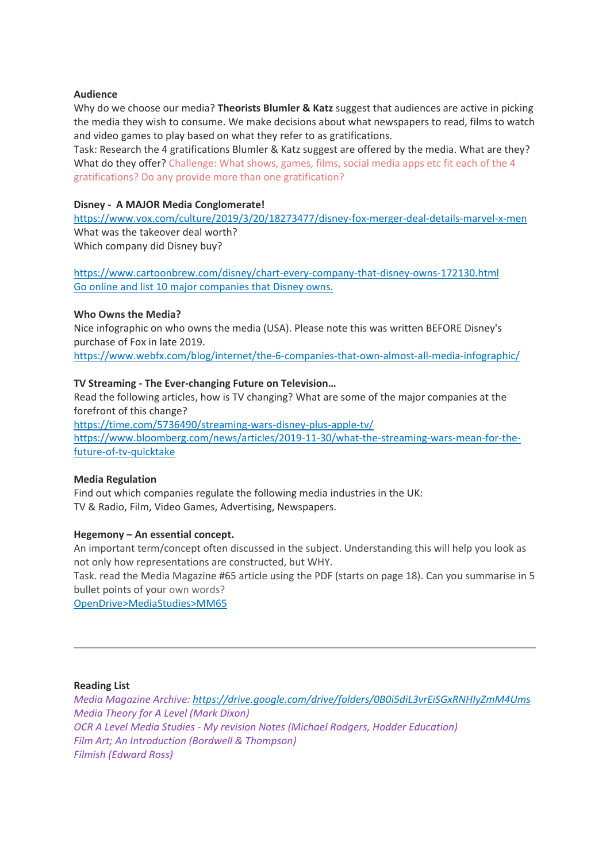### **Audience**

Why do we choose our media? **Theorists Blumler & Katz** suggest that audiences are active in picking the media they wish to consume. We make decisions about what newspapers to read, films to watch and video games to play based on what they refer to as gratifications.

Task: Research the 4 gratifications Blumler & Katz suggest are offered by the media. What are they? What do they offer? Challenge: What shows, games, films, social media apps etc fit each of the 4 gratifications? Do any provide more than one gratification?

### **Disney - A MAJOR Media Conglomerate!**

<https://www.vox.com/culture/2019/3/20/18273477/disney-fox-merger-deal-details-marvel-x-men> What was the takeover deal worth? Which company did Disney buy?

<https://www.cartoonbrew.com/disney/chart-every-company-that-disney-owns-172130.html> Go online and list 10 major companies that Disney owns.

### **[Who Owns the Media?](https://www.youtube.com/watch?v=aXgFcNUWqX0)**

Nice infographic on who owns the media (USA). Please note this was written BEFORE Disney's purchase of Fox in late 2019.

<https://www.webfx.com/blog/internet/the-6-companies-that-own-almost-all-media-infographic/>

### **TV Streaming - The Ever-changing Future on Television…**

Read the following articles, how is TV changing? What are some of the major companies at the forefront of this change?

<https://time.com/5736490/streaming-wars-disney-plus-apple-tv/> [https://www.bloomberg.com/news/articles/2019-11-30/what-the-streaming-wars-mean-for-the](https://www.bloomberg.com/news/articles/2019-11-30/what-the-streaming-wars-mean-for-the-future-of-tv-quicktake)[future-of-tv-quicktake](https://www.bloomberg.com/news/articles/2019-11-30/what-the-streaming-wars-mean-for-the-future-of-tv-quicktake)

#### **Media Regulation**

Find out which companies regulate the following media industries in the UK: TV & Radio, Film, Video Games, Advertising, Newspapers.

### **Hegemony – An essential concept.**

An important term/concept often discussed in the subject. Understanding this will help you look as not only how representations are constructed, but WHY.

Task. read the Media Magazine #65 article using the PDF (starts on page 18). Can you summarise in 5 bullet points of your own words?

OpenDrive>MediaStudies>MM65

#### **Reading List**

*Media Magazine Archive: <https://drive.google.com/drive/folders/0B0i5diL3vrEiSGxRNHIyZmM4Ums> Media Theory for A Level (Mark Dixon) OCR A Level Media Studies - My revision Notes (Michael Rodgers, Hodder Education) Film Art; An Introduction (Bordwell & Thompson) Filmish (Edward Ross)*